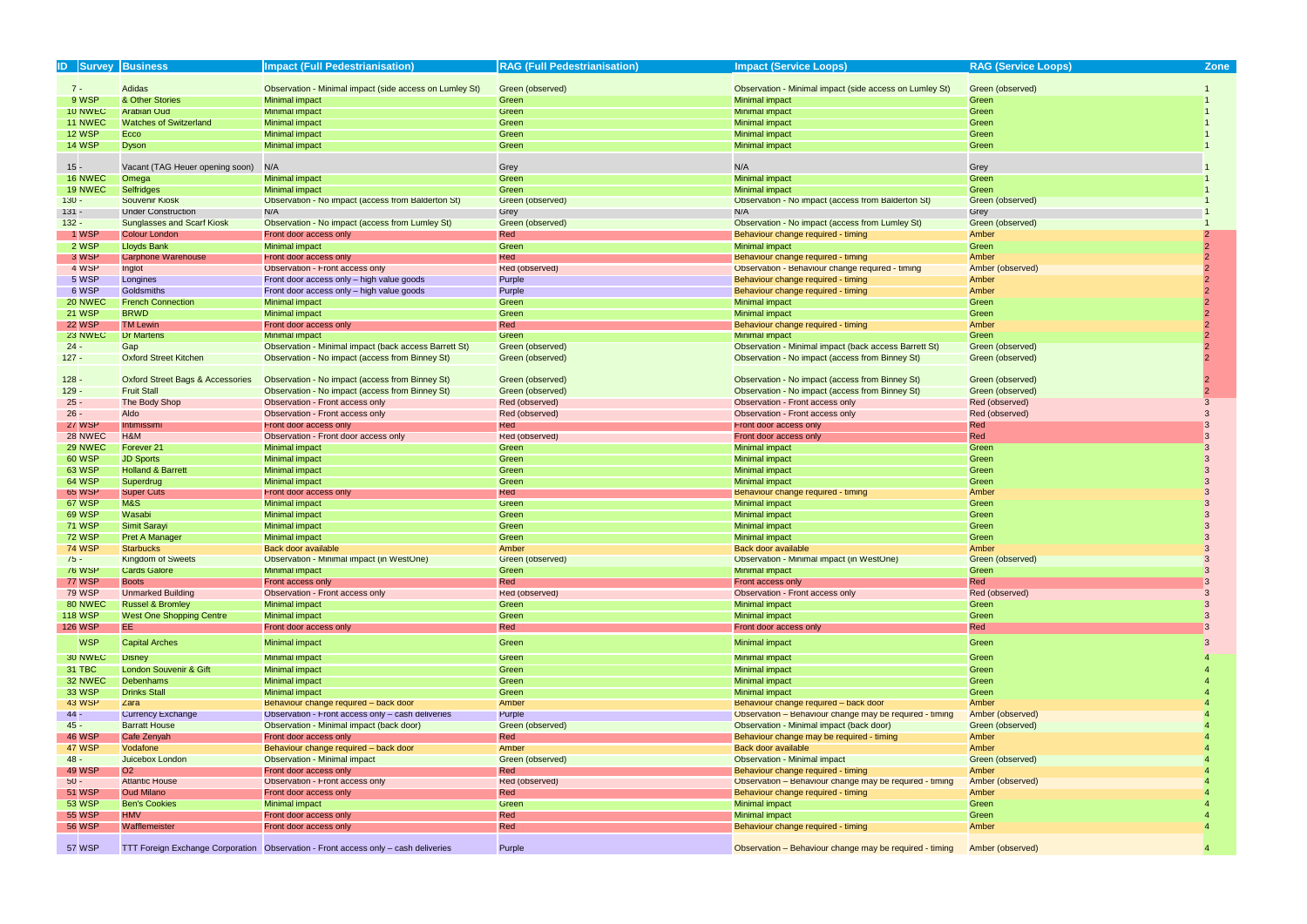| <b>ID Survey Business</b> |                                             | <b>Impact (Full Pedestrianisation</b>                                               | <b>RAG (Full Pedestrianisation)</b> | <b>Impact (Service Loops)</b>                                | <b>RAG (Service Loops)</b> | <b>Zone</b> |
|---------------------------|---------------------------------------------|-------------------------------------------------------------------------------------|-------------------------------------|--------------------------------------------------------------|----------------------------|-------------|
|                           |                                             |                                                                                     |                                     |                                                              |                            |             |
| $7 -$                     | <b>Adidas</b>                               | Observation - Minimal impact (side access on Lumley St)                             | Green (observed)                    | Observation - Minimal impact (side access on Lumley St)      | Green (observed)           |             |
| 9 WSP                     | & Other Stories                             | Minimal impact                                                                      | Green                               | Minimal impact                                               | Green                      |             |
| 10 NWEC                   | <b>Arabian Oud</b>                          | Minimal impact                                                                      | Green                               | <b>Minimal impact</b>                                        | Green                      |             |
| 11 NWEC                   | <b>Watches of Switzerland</b>               | <b>Minimal impact</b>                                                               | Green                               | <b>Minimal impact</b>                                        | Green                      |             |
| <b>12 WSP</b>             | Ecco                                        | <b>Minimal impact</b>                                                               | Green                               | <b>Minimal impact</b>                                        | Green                      |             |
| <b>14 WSP</b>             | <b>Dyson</b>                                | Minimal impact                                                                      | Green                               | Minimal impact                                               | Green                      |             |
|                           |                                             |                                                                                     |                                     |                                                              |                            |             |
| $15 -$                    | Vacant (TAG Heuer opening soon)             | N/A                                                                                 | Grey                                | N/A                                                          | Grey                       |             |
| 16 NWEC                   | Omega                                       | Minimal impact                                                                      | Green                               | <b>Minimal impact</b>                                        | Green                      |             |
| 19 NWEC                   | <b>Selfridges</b>                           | Minimal impact                                                                      | Green                               | Minimal impact                                               | Green                      |             |
| $130 -$                   | <b>Souvenir Kiosk</b>                       | Observation - No impact (access from Balderton St)                                  | Green (observed)                    | Observation - No impact (access from Balderton St)           | Green (observed)           |             |
| $131 -$                   | <b>Under Construction</b>                   | N/A                                                                                 | Grey                                | N/A                                                          | Grey                       |             |
| $132 -$                   | <b>Sunglasses and Scarf Kiosk</b>           | Observation - No impact (access from Lumley St)                                     | Green (observed)                    | Observation - No impact (access from Lumley St)              | Green (observed)           |             |
| 1 WSP                     | <b>Colour London</b>                        | Front door access only                                                              | Red                                 | Behaviour change required - timing                           | Amber                      |             |
| 2 WSP                     | <b>Lloyds Bank</b>                          | <b>Minimal impact</b>                                                               | Green                               | <b>Minimal impact</b>                                        | Green                      |             |
| 3 WSP                     | Carphone Warehouse                          | Front door access only                                                              | Red                                 | Behaviour change required - timing                           | Amber                      |             |
| 4 WSP                     | Inglot                                      | Observation - Front access only                                                     | Red (observed)                      | Observation - Behaviour change required - timing             | Amber (observed)           |             |
| 5 WSP                     | Longines                                    | Front door access only - high value goods                                           | Purple                              | Behaviour change required - timing                           | Amber                      |             |
| 6 WSP                     | Goldsmiths                                  | Front door access only - high value goods                                           | Purple                              | Behaviour change required - timing                           | Amber                      |             |
| 20 NWEC                   | <b>French Connection</b>                    | Minimal impact                                                                      | Green                               | <b>Minimal impact</b>                                        | Green                      |             |
| <b>21 WSP</b>             | <b>BRWD</b>                                 | Minimal impact                                                                      | Green                               | Minimal impact                                               | Green                      |             |
| <b>22 WSP</b>             | <b>TM Lewin</b>                             | Front door access only                                                              | Red                                 | Behaviour change required - timing                           | Amber                      |             |
| 23 NWEC                   | <b>Dr Martens</b>                           | <b>Minimal impact</b>                                                               | Green                               | Minimal impact                                               | Green                      |             |
| $24 -$                    | Gap                                         | <b>Observation - Minimal impact (back access Barrett St)</b>                        | Green (observed)                    | <b>Observation - Minimal impact (back access Barrett St)</b> | Green (observed)           |             |
| $127 -$                   | <b>Oxford Street Kitchen</b>                | Observation - No impact (access from Binney St)                                     | Green (observed)                    | Observation - No impact (access from Binney St)              | Green (observed)           |             |
|                           |                                             |                                                                                     |                                     |                                                              |                            |             |
| $128 -$                   | <b>Oxford Street Bags &amp; Accessories</b> | Observation - No impact (access from Binney St)                                     | Green (observed)                    | Observation - No impact (access from Binney St)              | Green (observed)           |             |
| $129 -$                   | <b>Fruit Stall</b>                          | Observation - No impact (access from Binney St)                                     | Green (observed)                    | Observation - No impact (access from Binney St)              | Green (observed)           |             |
| $25 -$                    | The Body Shop                               | Observation - Front access only                                                     | Red (observed)                      | Observation - Front access only                              | Red (observed)             |             |
| $26 -$                    | Aldo                                        | Observation - Front access only                                                     | Red (observed)                      | Observation - Front access only                              | Red (observed)             |             |
| <b>27 WSP</b>             | Intimissimi                                 | Front door access only                                                              | Red                                 | Front door access only                                       | Red                        |             |
| 28 NWEC                   | H&M                                         | Observation - Front door access only                                                | Red (observed)                      | Front door access only                                       | Red                        |             |
| 29 NWEC                   | Forever <sub>21</sub>                       | Minimal impact                                                                      | Green                               | Minimal impact                                               | Green                      |             |
| <b>60 WSP</b>             | <b>JD Sports</b>                            | Minimal impact                                                                      | Green                               | Minimal impact                                               | Green                      |             |
| <b>63 WSP</b>             | <b>Holland &amp; Barrett</b>                | <b>Minimal impact</b>                                                               | Green                               | <b>Minimal impact</b>                                        | Green                      |             |
| 64 WSP                    | Superdrug                                   | Minimal impact                                                                      | Green                               | Minimal impact                                               | Green                      |             |
| <b>65 WSP</b><br>67 WSP   | <b>Super Cuts</b><br>M&S                    | Front door access only                                                              | Red                                 | Behaviour change required - timing                           | Amber                      |             |
| <b>69 WSP</b>             | Wasabi                                      | Minimal impact<br>Minimal impact                                                    | Green<br>Green                      | Minimal impact<br>Minimal impact                             | Green<br>Green             |             |
| <b>71 WSP</b>             | <b>Simit Sarayi</b>                         | Minimal impact                                                                      | Green                               | Minimal impact                                               | Green                      |             |
| <b>72 WSP</b>             | <b>Pret A Manager</b>                       | Minimal impact                                                                      | Green                               | Minimal impact                                               | Green                      | 3           |
| <b>74 WSP</b>             | <b>Starbucks</b>                            | <b>Back door available</b>                                                          | Amber                               | Back door available                                          | Amber                      |             |
| 75 -                      | <b>Kingdom of Sweets</b>                    | Observation - Minimal impact (in WestOne)                                           | Green (observed)                    | <b>Observation - Minimal impact (in WestOne)</b>             | Green (observed)           |             |
| <b>76 WSP</b>             | <b>Cards Galore</b>                         | Minimal impact                                                                      | Green                               | Minimal impact                                               | Green                      |             |
| <b>77 WSP</b>             | <b>Boots</b>                                | Front access only                                                                   | Red                                 | Front access only                                            | Red                        |             |
| <b>79 WSP</b>             | <b>Unmarked Building</b>                    | Observation - Front access only                                                     | Red (observed)                      | Observation - Front access only                              | Red (observed)             |             |
| 80 NWEC                   | <b>Russel &amp; Bromley</b>                 | Minimal impact                                                                      | Green                               | Minimal impact                                               | Green                      |             |
| <b>118 WSP</b>            | <b>West One Shopping Centre</b>             | Minimal impact                                                                      | Green                               | <b>Minimal impact</b>                                        | Green                      |             |
| <b>126 WSP</b>            | EE.                                         | Front door access only                                                              | Red                                 | Front door access only                                       | Red                        |             |
|                           |                                             |                                                                                     |                                     |                                                              |                            |             |
| <b>WSP</b>                | <b>Capital Arches</b>                       | Minimal impact                                                                      | Green                               | <b>Minimal impact</b>                                        | Green                      | 3           |
| 30 NWEC                   | <b>Disney</b>                               | <b>Minimal impact</b>                                                               | Green                               | <b>Minimal impact</b>                                        | Green                      |             |
| 31 TBC                    | London Souvenir & Gift                      | Minimal impact                                                                      | Green                               | Minimal impact                                               | Green                      |             |
| 32 NWEC                   | Debenhams                                   | Minimal impact                                                                      | Green                               | <b>Minimal impact</b>                                        | Green                      |             |
| 33 WSP                    | <b>Drinks Stall</b>                         | Minimal impact                                                                      | Green                               | <b>Minimal impact</b>                                        | Green                      |             |
| <b>43 WSP</b>             | Zara                                        | Behaviour change required - back door                                               | Amber                               | Behaviour change required - back door                        | Amber                      |             |
| 44 -                      | <b>Currency Exchange</b>                    | Observation - Front access only - cash deliveries                                   | Purple                              | Observation - Behaviour change may be required - timing      | Amber (observed)           |             |
| $45 -$                    | <b>Barratt House</b>                        | Observation - Minimal impact (back door)                                            | Green (observed)                    | <b>Observation - Minimal impact (back door)</b>              | Green (observed)           |             |
| <b>46 WSP</b>             | Cafe Zenyah                                 | Front door access only                                                              | Red                                 | Behaviour change may be required - timing                    | Amber                      |             |
| <b>47 WSP</b>             | Vodafone                                    | Behaviour change required - back door                                               | Amber                               | Back door available                                          | Amber                      |             |
| $48 -$                    | Juicebox London                             | <b>Observation - Minimal impact</b>                                                 | Green (observed)                    | <b>Observation - Minimal impact</b>                          | Green (observed)           |             |
| 49 WSP                    | O <sub>2</sub>                              | Front door access only                                                              | Red                                 | Behaviour change required - timing                           | Amber                      |             |
| $50 -$                    | <b>Atlantic House</b>                       | Observation - Front access only                                                     | Red (observed)                      | Observation - Behaviour change may be required - timing      | Amber (observed)           |             |
| <b>51 WSP</b>             | <b>Oud Milano</b>                           | Front door access only                                                              | Red                                 | Behaviour change required - timing                           | Amber                      |             |
| <b>53 WSP</b>             | <b>Ben's Cookies</b>                        | <b>Minimal impact</b>                                                               | Green                               | <b>Minimal impact</b>                                        | Green                      |             |
| <b>55 WSP</b>             | <b>HMV</b>                                  | Front door access only                                                              | Red                                 | <b>Minimal impact</b>                                        | Green                      |             |
| <b>56 WSP</b>             | <b>Wafflemeister</b>                        | Front door access only                                                              | Red                                 | Behaviour change required - timing                           | Amber                      |             |
|                           |                                             |                                                                                     |                                     |                                                              |                            |             |
| <b>57 WSP</b>             |                                             | TTT Foreign Exchange Corporation  Observation - Front access only - cash deliveries | Purple                              | Observation - Behaviour change may be required - timing      | Amber (observed)           |             |